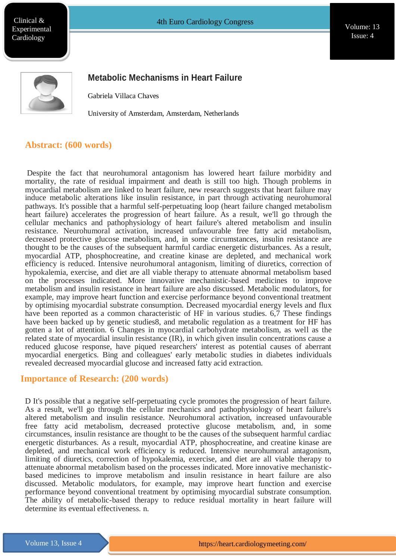Clinical & Experimental **Cardiology** 

Vou Issue: 4 Volume: 13



## **Metabolic Mechanisms in Heart Failure**

Gabriela Villaca Chaves

University of Amsterdam, Amsterdam, Netherlands

#### **Abstract: (600 words)**

Despite the fact that neurohumoral antagonism has lowered heart failure morbidity and mortality, the rate of residual impairment and death is still too high. Though problems in myocardial metabolism are linked to heart failure, new research suggests that heart failure may induce metabolic alterations like insulin resistance, in part through activating neurohumoral pathways. It's possible that a harmful self-perpetuating loop (heart failure changed metabolism heart failure) accelerates the progression of heart failure. As a result, we'll go through the cellular mechanics and pathophysiology of heart failure's altered metabolism and insulin resistance. Neurohumoral activation, increased unfavourable free fatty acid metabolism, decreased protective glucose metabolism, and, in some circumstances, insulin resistance are thought to be the causes of the subsequent harmful cardiac energetic disturbances. As a result, myocardial ATP, phosphocreatine, and creatine kinase are depleted, and mechanical work efficiency is reduced. Intensive neurohumoral antagonism, limiting of diuretics, correction of hypokalemia, exercise, and diet are all viable therapy to attenuate abnormal metabolism based on the processes indicated. More innovative mechanistic-based medicines to improve metabolism and insulin resistance in heart failure are also discussed. Metabolic modulators, for example, may improve heart function and exercise performance beyond conventional treatment by optimising myocardial substrate consumption. Decreased myocardial energy levels and flux have been reported as a common characteristic of HF in various studies. 6,7 These findings have been backed up by genetic studies8, and metabolic regulation as a treatment for HF has gotten a lot of attention. 6 Changes in myocardial carbohydrate metabolism, as well as the related state of myocardial insulin resistance (IR), in which given insulin concentrations cause a reduced glucose response, have piqued researchers' interest as potential causes of aberrant myocardial energetics. Bing and colleagues' early metabolic studies in diabetes individuals revealed decreased myocardial glucose and increased fatty acid extraction.

#### **Importance of Research: (200 words)**

**ht[tps://ww](http://www.meetingsint.com/conferences/emergencymedicine)w.m[eetingsint.com/confences/emergencymedicine](http://www.meetingsint.com/conferences/emergencymedicine)**

D It's possible that a negative self-perpetuating cycle promotes the progression of heart failure. As a result, we'll go through the cellular mechanics and pathophysiology of heart failure's altered metabolism and insulin resistance. Neurohumoral activation, increased unfavourable free fatty acid metabolism, decreased protective glucose metabolism, and, in some circumstances, insulin resistance are thought to be the causes of the subsequent harmful cardiac energetic disturbances. As a result, myocardial ATP, phosphocreatine, and creatine kinase are depleted, and mechanical work efficiency is reduced. Intensive neurohumoral antagonism, limiting of diuretics, correction of hypokalemia, exercise, and diet are all viable therapy to attenuate abnormal metabolism based on the processes indicated. More innovative mechanisticbased medicines to improve metabolism and insulin resistance in heart failure are also discussed. Metabolic modulators, for example, may improve heart function and exercise performance beyond conventional treatment by optimising myocardial substrate consumption. The ability of metabolic-based therapy to reduce residual mortality in heart failure will determine its eventual effectiveness. n.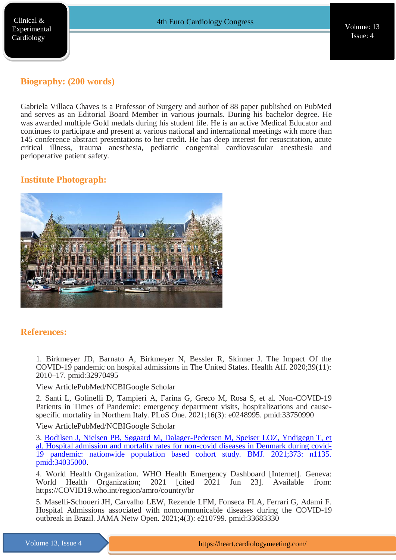# **Biography: (200 words)**

Gabriela Villaca Chaves is a Professor of Surgery and author of 88 paper published on PubMed and serves as an Editorial Board Member in various journals. During his bachelor degree. He was awarded multiple Gold medals during his student life. He is an active Medical Educator and continues to participate and present at various national and international meetings with more than 145 conference abstract presentations to her credit. He has deep interest for resuscitation, acute critical illness, trauma anesthesia, pediatric congenital cardiovascular anesthesia and perioperative patient safety.

# **Institute Photograph:**



### **References:**

1. Birkmeyer JD, Barnato A, Birkmeyer N, Bessler R, Skinner J. The Impact Of the COVID-19 pandemic on hospital admissions in The United States. Health Aff. 2020;39(11): 2010–17. pmid:32970495

View ArticlePubMed/NCBIGoogle Scholar

2. Santi L, Golinelli D, Tampieri A, Farina G, Greco M, Rosa S, et al. Non-COVID-19 Patients in Times of Pandemic: emergency department visits, hospitalizations and causespecific mortality in Northern Italy. PLoS One. 2021;16(3): e0248995. pmid:33750990

View ArticlePubMed/NCBIGoogle Scholar

**ht[tps://ww](http://www.meetingsint.com/conferences/emergencymedicine)w.m[eetingsint.com/confences/emergencymedicine](http://www.meetingsint.com/conferences/emergencymedicine)**

3. [Bodilsen J, Nielsen PB, Søgaard M, Dalager-Pedersen M, Speiser LOZ, Yndigegn T, et](https://www.longdom.org/clinical-experimental-cardiology/archive.html)  [al. Hospital admission and mortality rates for non-covid diseases in Denmark during covid-](https://www.longdom.org/clinical-experimental-cardiology/archive.html)[19 pandemic: nationwide population based cohort study. BMJ. 2021;373: n1135.](https://www.longdom.org/clinical-experimental-cardiology/archive.html)  [pmid:34035000.](https://www.longdom.org/clinical-experimental-cardiology/archive.html)

4. World Health Organization. WHO Health Emergency Dashboard [Internet]. Geneva: World Health Organization; 2021 [cited 2021 Jun 23]. Available from: https://COVID19.who.int/region/amro/country/br

5. Maselli-Schoueri JH, Carvalho LEW, Rezende LFM, Fonseca FLA, Ferrari G, Adami F. Hospital Admissions associated with noncommunicable diseases during the COVID-19 outbreak in Brazil. JAMA Netw Open. 2021;4(3): e210799. pmid:33683330